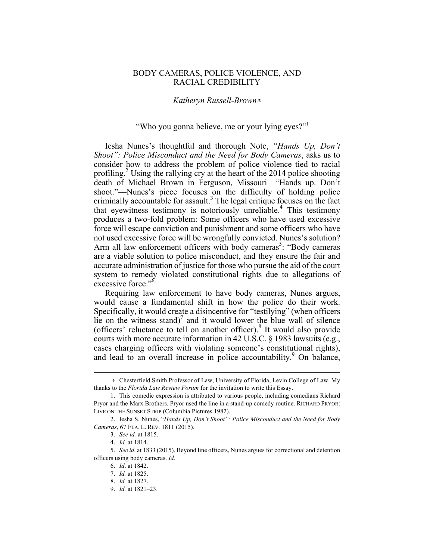## BODY CAMERAS, POLICE VIOLENCE, AND RACIAL CREDIBILITY

## *Katheryn Russell-Brown*<sup>∗</sup>

## "Who you gonna believe, me or your lying eyes?"

Iesha Nunes's thoughtful and thorough Note, *"Hands Up, Don't Shoot": Police Misconduct and the Need for Body Cameras*, asks us to consider how to address the problem of police violence tied to racial profiling.<sup>2</sup> Using the rallying cry at the heart of the 2014 police shooting death of Michael Brown in Ferguson, Missouri—"Hands up. Don't shoot."—Nunes's piece focuses on the difficulty of holding police criminally accountable for assault.<sup>3</sup> The legal critique focuses on the fact that eyewitness testimony is notoriously unreliable.<sup>4</sup> This testimony produces a two-fold problem: Some officers who have used excessive force will escape conviction and punishment and some officers who have not used excessive force will be wrongfully convicted. Nunes's solution? Arm all law enforcement officers with body cameras<sup>5</sup>: "Body cameras are a viable solution to police misconduct, and they ensure the fair and accurate administration of justice for those who pursue the aid of the court system to remedy violated constitutional rights due to allegations of excessive force."<sup>6</sup>

Requiring law enforcement to have body cameras, Nunes argues, would cause a fundamental shift in how the police do their work. Specifically, it would create a disincentive for "testilying" (when officers lie on the witness stand)<sup>7</sup> and it would lower the blue wall of silence (officers' reluctance to tell on another officer).<sup>8</sup> It would also provide courts with more accurate information in 42 U.S.C. § 1983 lawsuits (e.g., cases charging officers with violating someone's constitutional rights), and lead to an overall increase in police accountability.<sup>9</sup> On balance,

1

<sup>∗</sup> Chesterfield Smith Professor of Law, University of Florida, Levin College of Law. My thanks to the *Florida Law Review Forum* for the invitation to write this Essay.

<sup>1.</sup> This comedic expression is attributed to various people, including comedians Richard Pryor and the Marx Brothers. Pryor used the line in a stand-up comedy routine. RICHARD PRYOR: LIVE ON THE SUNSET STRIP (Columbia Pictures 1982).

<sup>2.</sup> Iesha S. Nunes, "*Hands Up, Don't Shoot": Police Misconduct and the Need for Body Cameras*, 67 FLA. L. REV. 1811 (2015).

<sup>3.</sup> *See id.* at 1815.

<sup>4.</sup> *Id.* at 1814.

<sup>5.</sup> *See id.* at 1833 (2015). Beyond line officers, Nunes argues for correctional and detention officers using body cameras. *Id.*

<sup>6.</sup> *Id*. at 1842.

<sup>7.</sup> *Id.* at 1825.

<sup>8.</sup> *Id.* at 1827.

<sup>9.</sup> *Id.* at 1821–23.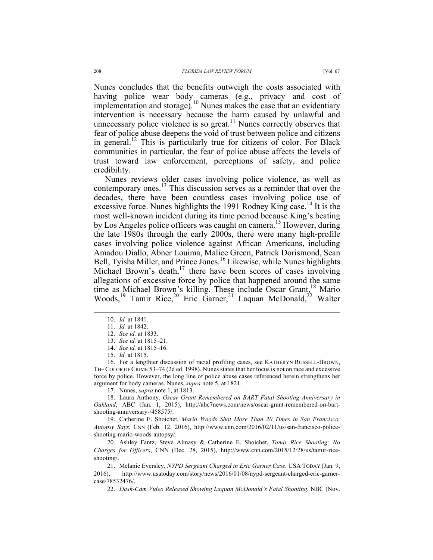Nunes concludes that the benefits outweigh the costs associated with having police wear body cameras (e.g., privacy and cost of implementation and storage).<sup>10</sup> Nunes makes the case that an evidentiary intervention is necessary because the harm caused by unlawful and unnecessary police violence is so great.<sup>11</sup> Nunes correctly observes that fear of police abuse deepens the void of trust between police and citizens in general.<sup>12</sup> This is particularly true for citizens of color. For Black communities in particular, the fear of police abuse affects the levels of trust toward law enforcement, perceptions of safety, and police credibility.

Nunes reviews older cases involving police violence, as well as contemporary ones.<sup>13</sup> This discussion serves as a reminder that over the decades, there have been countless cases involving police use of excessive force. Nunes highlights the 1991 Rodney King case.<sup>14</sup> It is the most well-known incident during its time period because King's beating by Los Angeles police officers was caught on camera.<sup>15</sup> However, during the late 1980s through the early 2000s, there were many high-profile cases involving police violence against African Americans, including Amadou Diallo, Abner Louima, Malice Green, Patrick Dorismond, Sean Bell, Tyisha Miller, and Prince Jones.<sup>16</sup> Likewise, while Nunes highlights Michael Brown's death, $17$  there have been scores of cases involving allegations of excessive force by police that happened around the same time as Michael Brown's killing. These include Oscar Grant,<sup>18</sup> Mario Woods,<sup>19</sup> Tamir Rice,<sup>20</sup> Eric Garner,<sup>21</sup> Laquan McDonald,<sup>22</sup> Walter

16. For a lengthier discussion of racial profiling cases, see KATHERYN RUSSELL-BROWN, THE COLOR OF CRIME 53–74 (2d ed. 1998). Nunes states that her focus is not on race and excessive force by police. However, the long line of police abuse cases referenced herein strengthens her argument for body cameras. Nunes, *supra* note 5, at 1821.

17. Nunes, *supra* note 1, at 1813.

18. Laura Anthony, *Oscar Grant Remembered on BART Fatal Shooting Anniversary in Oakland*, ABC (Jan. 1, 2015), http://abc7news.com/news/oscar-grant-remembered-on-bartshooting-anniversary-/458575/.

19. Catherine E. Shoichet, *Mario Woods Shot More Than 20 Times in San Francisco, Autopsy Says*, CNN (Feb. 12, 2016), http://www.cnn.com/2016/02/11/us/san-francisco-policeshooting-mario-woods-autopsy/.

20. Ashley Fantz, Steve Almasy & Catherine E. Shoichet, *Tamir Rice Shooting: No Charges for Officers*, CNN (Dec. 28, 2015), http://www.cnn.com/2015/12/28/us/tamir-riceshooting/.

21. Melanie Eversley, *NYPD Sergeant Charged in Eric Garner Case*, USA TODAY (Jan. 9, 2016), http://www.usatoday.com/story/news/2016/01/08/nypd-sergeant-charged-eric-garnercase/78532476/.

22. *Dash-Cam Video Released Showing Laquan McDonald's Fatal Shooting*, NBC (Nov.

 <sup>10.</sup> *Id.* at 1841.

<sup>11.</sup> *Id.* at 1842.

<sup>12.</sup> *See id.* at 1833.

<sup>13.</sup> *See id.* at 1815–21.

<sup>14.</sup> *See id.* at 1815–16.

<sup>15.</sup> *Id.* at 1815.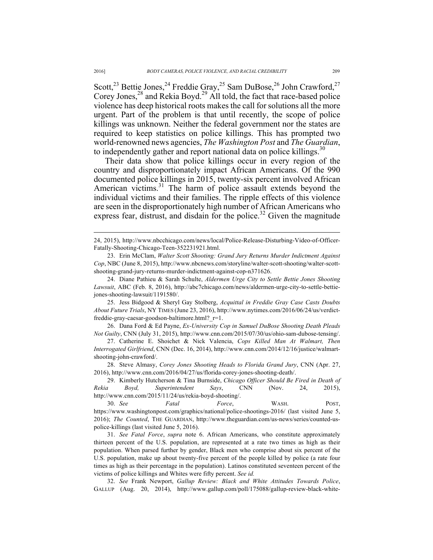Scott,<sup>23</sup> Bettie Jones,<sup>24</sup> Freddie Gray,<sup>25</sup> Sam DuBose,<sup>26</sup> John Crawford,<sup>27</sup> Corey Jones, $^{28}$  and Rekia Boyd.<sup>29</sup> All told, the fact that race-based police violence has deep historical roots makes the call for solutions all the more urgent. Part of the problem is that until recently, the scope of police killings was unknown. Neither the federal government nor the states are required to keep statistics on police killings. This has prompted two world-renowned news agencies, *The Washington Post* and *The Guardian*, to independently gather and report national data on police killings.<sup>30</sup>

Their data show that police killings occur in every region of the country and disproportionately impact African Americans. Of the 990 documented police killings in 2015, twenty-six percent involved African American victims.<sup>31</sup> The harm of police assault extends beyond the individual victims and their families. The ripple effects of this violence are seen in the disproportionately high number of African Americans who express fear, distrust, and disdain for the police.<sup>32</sup> Given the magnitude

25. Jess Bidgood & Sheryl Gay Stolberg, *Acquittal in Freddie Gray Case Casts Doubts About Future Trials*, NY TIMES (June 23, 2016), http://www.nytimes.com/2016/06/24/us/verdictfreddie-gray-caesar-goodson-baltimore.html?\_r=1.

26. Dana Ford & Ed Payne, *Ex-University Cop in Samuel DuBose Shooting Death Pleads Not Guilty*, CNN (July 31, 2015), http://www.cnn.com/2015/07/30/us/ohio-sam-dubose-tensing/.

27. Catherine E. Shoichet & Nick Valencia, *Cops Killed Man At Walmart, Then Interrogated Girlfriend*, CNN (Dec. 16, 2014), http://www.cnn.com/2014/12/16/justice/walmartshooting-john-crawford/.

28. Steve Almasy, *Corey Jones Shooting Heads to Florida Grand Jury*, CNN (Apr. 27, 2016), http://www.cnn.com/2016/04/27/us/florida-corey-jones-shooting-death/.

29. Kimberly Hutcherson & Tina Burnside, *Chicago Officer Should Be Fired in Death of Rekia Boyd, Superintendent Says*, CNN (Nov. 24, 2015), http://www.cnn.com/2015/11/24/us/rekia-boyd-shooting/. 30. *See Fatal Force*, WASH. POST,

31. *See Fatal Force*, *supra* note 6. African Americans, who constitute approximately thirteen percent of the U.S. population, are represented at a rate two times as high as their population. When parsed further by gender, Black men who comprise about six percent of the U.S. population, make up about twenty-five percent of the people killed by police (a rate four times as high as their percentage in the population). Latinos constituted seventeen percent of the victims of police killings and Whites were fifty percent. *See id.*

32. *See* Frank Newport, *Gallup Review: Black and White Attitudes Towards Police*, GALLUP (Aug. 20, 2014), http://www.gallup.com/poll/175088/gallup-review-black-white-

 <sup>24, 2015),</sup> http://www.nbcchicago.com/news/local/Police-Release-Disturbing-Video-of-Officer-Fatally-Shooting-Chicago-Teen-352231921.html.

<sup>23.</sup> Erin McClam, *Walter Scott Shooting: Grand Jury Returns Murder Indictment Against Cop*, NBC (June 8, 2015), http://www.nbcnews.com/storyline/walter-scott-shooting/walter-scottshooting-grand-jury-returns-murder-indictment-against-cop-n371626.

<sup>24.</sup> Diane Pathieu & Sarah Schulte, *Aldermen Urge City to Settle Bettie Jones Shooting Lawsuit*, ABC (Feb. 8, 2016), http://abc7chicago.com/news/aldermen-urge-city-to-settle-bettiejones-shooting-lawsuit/1191580/.

https://www.washingtonpost.com/graphics/national/police-shootings-2016/ (last visited June 5, 2016); *The Counted*, THE GUARDIAN, http://www.theguardian.com/us-news/series/counted-uspolice-killings (last visited June 5, 2016).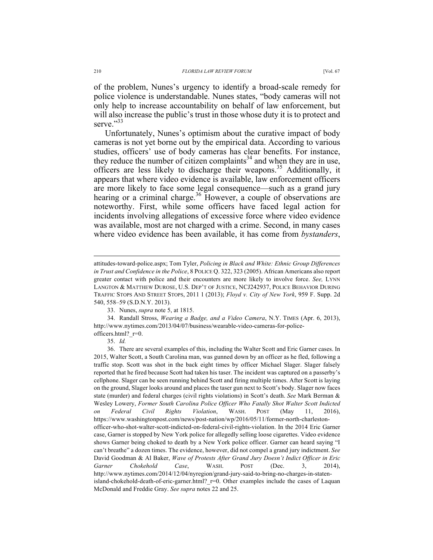of the problem, Nunes's urgency to identify a broad-scale remedy for police violence is understandable. Nunes states, "body cameras will not only help to increase accountability on behalf of law enforcement, but will also increase the public's trust in those whose duty it is to protect and serve<sup>"33</sup>

Unfortunately, Nunes's optimism about the curative impact of body cameras is not yet borne out by the empirical data. According to various studies, officers' use of body cameras has clear benefits. For instance, they reduce the number of citizen complaints<sup>34</sup> and when they are in use, officers are less likely to discharge their weapons.<sup>35</sup> Additionally, it appears that where video evidence is available, law enforcement officers are more likely to face some legal consequence—such as a grand jury hearing or a criminal charge.<sup>36</sup> However, a couple of observations are noteworthy. First, while some officers have faced legal action for incidents involving allegations of excessive force where video evidence was available, most are not charged with a crime. Second, in many cases where video evidence has been available, it has come from *bystanders*,

attitudes-toward-police.aspx; Tom Tyler, *Policing in Black and White: Ethnic Group Differences in Trust and Confidence in the Police*, 8 POLICE Q. 322, 323 (2005). African Americans also report greater contact with police and their encounters are more likely to involve force. *See,* LYNN LANGTON & MATTHEW DUROSE, U.S. DEP'T OF JUSTICE, NCJ242937, POLICE BEHAVIOR DURING TRAFFIC STOPS AND STREET STOPS, 2011 1 (2013); *Floyd v. City of New York*, 959 F. Supp. 2d 540, 558–59 (S.D.N.Y. 2013).

<sup>33.</sup> Nunes, *supra* note 5, at 1815.

<sup>34.</sup> Randall Stross, *Wearing a Badge, and a Video Camera*, N.Y. TIMES (Apr. 6, 2013), http://www.nytimes.com/2013/04/07/business/wearable-video-cameras-for-policeofficers.html? r=0.

<sup>35.</sup> *Id.*

<sup>36.</sup> There are several examples of this, including the Walter Scott and Eric Garner cases. In 2015, Walter Scott, a South Carolina man, was gunned down by an officer as he fled, following a traffic stop. Scott was shot in the back eight times by officer Michael Slager. Slager falsely reported that he fired because Scott had taken his taser. The incident was captured on a passerby's cellphone. Slager can be seen running behind Scott and firing multiple times. After Scott is laying on the ground, Slager looks around and places the taser gun next to Scott's body. Slager now faces state (murder) and federal charges (civil rights violations) in Scott's death. *See* Mark Berman & Wesley Lowery, *Former South Carolina Police Officer Who Fatally Shot Walter Scott Indicted on Federal Civil Rights Violation*, WASH. POST (May 11, 2016), https://www.washingtonpost.com/news/post-nation/wp/2016/05/11/former-north-charlestonofficer-who-shot-walter-scott-indicted-on-federal-civil-rights-violation. In the 2014 Eric Garner case, Garner is stopped by New York police for allegedly selling loose cigarettes. Video evidence shows Garner being choked to death by a New York police officer. Garner can heard saying "I can't breathe" a dozen times. The evidence, however, did not compel a grand jury indictment. *See* David Goodman & Al Baker, *Wave of Protests After Grand Jury Doesn't Indict Officer in Eric Garner Chokehold Case*, WASH. POST (Dec. 3, 2014), http://www.nytimes.com/2014/12/04/nyregion/grand-jury-said-to-bring-no-charges-in-statenisland-chokehold-death-of-eric-garner.html? r=0. Other examples include the cases of Laquan McDonald and Freddie Gray. *See supra* notes 22 and 25.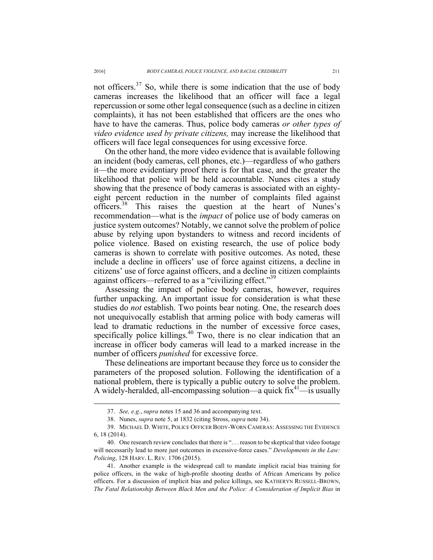not officers.<sup>37</sup> So, while there is some indication that the use of body cameras increases the likelihood that an officer will face a legal repercussion or some other legal consequence (such as a decline in citizen complaints), it has not been established that officers are the ones who have to have the cameras. Thus, police body cameras *or other types of video evidence used by private citizens,* may increase the likelihood that officers will face legal consequences for using excessive force.

On the other hand, the more video evidence that is available following an incident (body cameras, cell phones, etc.)—regardless of who gathers it—the more evidentiary proof there is for that case, and the greater the likelihood that police will be held accountable. Nunes cites a study showing that the presence of body cameras is associated with an eightyeight percent reduction in the number of complaints filed against officers.<sup>38</sup> This raises the question at the heart of Nunes's recommendation—what is the *impact* of police use of body cameras on justice system outcomes? Notably, we cannot solve the problem of police abuse by relying upon bystanders to witness and record incidents of police violence. Based on existing research, the use of police body cameras is shown to correlate with positive outcomes. As noted, these include a decline in officers' use of force against citizens, a decline in citizens' use of force against officers, and a decline in citizen complaints against officers—referred to as a "civilizing effect."<sup>39</sup>

Assessing the impact of police body cameras, however, requires further unpacking. An important issue for consideration is what these studies do *not* establish. Two points bear noting. One, the research does not unequivocally establish that arming police with body cameras will lead to dramatic reductions in the number of excessive force cases, specifically police killings.<sup>40</sup> Two, there is no clear indication that an increase in officer body cameras will lead to a marked increase in the number of officers *punished* for excessive force.

These delineations are important because they force us to consider the parameters of the proposed solution. Following the identification of a national problem, there is typically a public outcry to solve the problem. A widely-heralded, all-encompassing solution—a quick  $fix^{41}$ —is usually

 <sup>37.</sup> *See, e.g.*, *supra* notes 15 and 36 and accompanying text.

<sup>38.</sup> Nunes, *supra* note 5, at 1832 (citing Stross, *supra* note 34).

<sup>39.</sup> MICHAEL D. WHITE, POLICE OFFICER BODY-WORN CAMERAS: ASSESSING THE EVIDENCE 6, 18 (2014).

<sup>40.</sup> One research review concludes that there is ". . . reason to be skeptical that video footage will necessarily lead to more just outcomes in excessive-force cases." *Developments in the Law: Policing*, 128 HARV. L. REV*.* 1706 (2015).

<sup>41.</sup> Another example is the widespread call to mandate implicit racial bias training for police officers, in the wake of high-profile shooting deaths of African Americans by police officers. For a discussion of implicit bias and police killings, see KATHERYN RUSSELL-BROWN, *The Fatal Relationship Between Black Men and the Police: A Consideration of Implicit Bias* in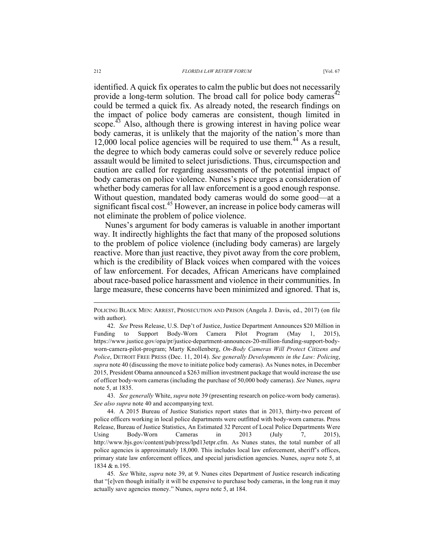identified. A quick fix operates to calm the public but does not necessarily provide a long-term solution. The broad call for police body cameras<sup>42</sup> could be termed a quick fix. As already noted, the research findings on the impact of police body cameras are consistent, though limited in scope.<sup>43</sup> Also, although there is growing interest in having police wear body cameras, it is unlikely that the majority of the nation's more than  $12,000$  local police agencies will be required to use them.<sup>44</sup> As a result, the degree to which body cameras could solve or severely reduce police assault would be limited to select jurisdictions. Thus, circumspection and caution are called for regarding assessments of the potential impact of body cameras on police violence. Nunes's piece urges a consideration of whether body cameras for all law enforcement is a good enough response. Without question, mandated body cameras would do some good—at a significant fiscal cost.<sup>45</sup> However, an increase in police body cameras will not eliminate the problem of police violence.

Nunes's argument for body cameras is valuable in another important way. It indirectly highlights the fact that many of the proposed solutions to the problem of police violence (including body cameras) are largely reactive. More than just reactive, they pivot away from the core problem, which is the credibility of Black voices when compared with the voices of law enforcement. For decades, African Americans have complained about race-based police harassment and violence in their communities. In large measure, these concerns have been minimized and ignored. That is,

43. *See generally* White, *supra* note 39 (presenting research on police-worn body cameras). *See also supra* note 40 and accompanying text.

POLICING BLACK MEN: ARREST, PROSECUTION AND PRISON (Angela J. Davis, ed., 2017) (on file with author).

<sup>42.</sup> *See* Press Release, U.S. Dep't of Justice, Justice Department Announces \$20 Million in Funding to Support Body-Worn Camera Pilot Program (May 1, 2015), https://www.justice.gov/opa/pr/justice-department-announces-20-million-funding-support-bodyworn-camera-pilot-program; Marty Knollenberg, *On-Body Cameras Will Protect Citizens and Police*, DETROIT FREE PRESS (Dec. 11, 2014). *See generally Developments in the Law: Policing*, *supra* note 40 (discussing the move to initiate police body cameras). As Nunes notes, in December 2015, President Obama announced a \$263 million investment package that would increase the use of officer body-worn cameras (including the purchase of 50,000 body cameras). *See* Nunes, *supra* note 5, at 1835.

<sup>44.</sup> A 2015 Bureau of Justice Statistics report states that in 2013, thirty-two percent of police officers working in local police departments were outfitted with body-worn cameras. Press Release, Bureau of Justice Statistics, An Estimated 32 Percent of Local Police Departments Were Using Body-Worn Cameras in 2013 (July 7, 2015), http://www.bjs.gov/content/pub/press/lpd13etpr.cfm. As Nunes states, the total number of all police agencies is approximately 18,000. This includes local law enforcement, sheriff's offices, primary state law enforcement offices, and special jurisdiction agencies. Nunes, *supra* note 5, at 1834 & n.195.

<sup>45.</sup> *See* White, *supra* note 39, at 9. Nunes cites Department of Justice research indicating that "[e]ven though initially it will be expensive to purchase body cameras, in the long run it may actually save agencies money." Nunes, *supra* note 5, at 184.